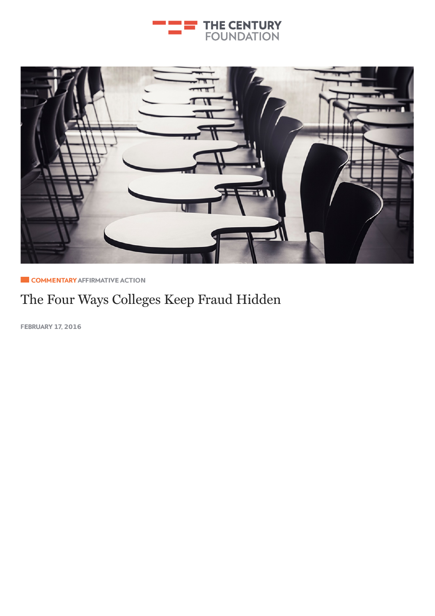



**E** COMMENTARY AFFI[RMAT](http://tcf.stage.a17.io/topics/education/affirmative-action/)IVE ACTION

# The Four Ways [College](http://tcf.stage.a17.io/topics/rights-justice/democracy/)s Keep Fraud Hidden

F**E**BRUARY **1**7, **2016**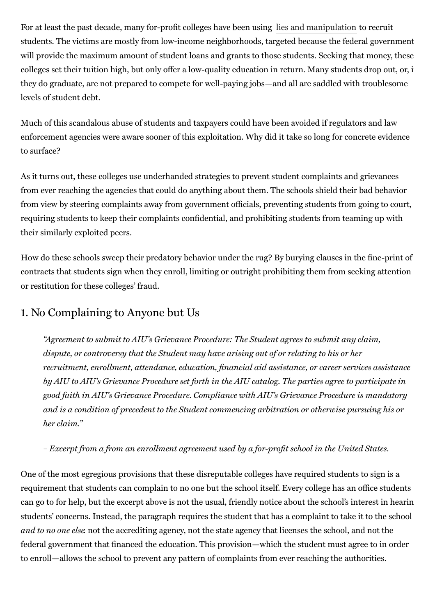For at least the past decade, many for-profit colleges have been using lies and [manipulation](https://www.nclc.org/images/pdf/pr-reports/for-profit-gov-investigations.pdf) to recruit students. The victims are mostly from low-income neighborhoods, targeted because the federal government will provide the maximum amount of student loans and grants to those students. Seeking that money, these colleges set their tuition high, but only offer a low-quality education in return. Many students drop out, or, i they do graduate, are not prepared to compete for well-paying jobs—and all are saddled with troublesome levels of student debt.

Much of this scandalous abuse of students and taxpayers could have been avoided if regulators and law enforcement agencies were aware sooner of this exploitation. Why did it take so long for concrete evidence to surface?

As it turns out, these colleges use underhanded strategies to prevent student complaints and grievances from ever reaching the agencies that could do anything about them. The schools shield their bad behavior from view by steering complaints away from government officials, preventing students from going to court, requiring students to keep their complaints confidential, and prohibiting students from teaming up with their similarly exploited peers.

How do these schools sweep their predatory behavior under the rug? By burying clauses in the fine-print of contracts that students sign when they enroll, limiting or outright prohibiting them from seeking attention or restitution for these colleges' fraud.

## 1. No Complaining to Anyone but Us

"Agreement to submit to AIU's Grievance Procedure: The Student agrees to submit any claim, dispute, or controversy that the Student may have arising out of or relating to his or her recruitment, enrollment, attendance, education, financial aid assistance, or career services assistance by AIU to AIU's Grievance Procedure set forth in the AIU catalog. The parties agree to participate in good faith in AIU's Grievance Procedure. Compliance with AIU's Grievance Procedure is mandatory and is a condition of precedent to the Student commencing arbitration or otherwise pursuing his or her claim."

– Excerpt from a from an enrollment agreement used by a for-profit school in the United States.

One of the most egregious provisions that these disreputable colleges have required students to sign is a requirement that students can complain to no one but the school itself. Every college has an office students can go to for help, but the excerpt above is not the usual, friendly notice about the school's interest in hearin students' concerns. Instead, the paragraph requires the student that has a complaint to take it to the school and to no one else not the accrediting agency, not the state agency that licenses the school, and not the federal government that financed the education. This provision—which the student must agree to in order to enroll—allows the school to prevent any pattern of complaints from ever reaching the authorities.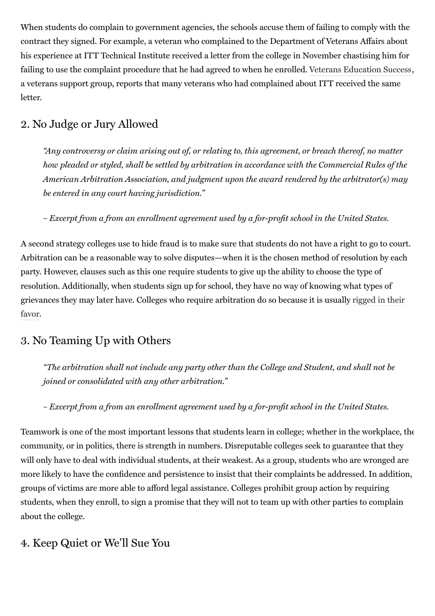When students do complain to government agencies, the schools accuse them of failing to comply with the contract they signed. For example, a veteran who complained to the Department of Veterans Affairs about his experience at ITT Technical Institute received a letter from the college in November chastising him for failing to use the complaint procedure that he had agreed to when he enrolled. Veterans [Education](http://veteranseducationsuccess.org/) Success, a veterans support group, reports that many veterans who had complained about ITT received the same letter.

### 2. No Judge or Jury Allowed

"Any controversy or claim arising out of, or relating to, this agreement, or breach thereof, no matter how pleaded or styled, shall be settled by arbitration in accordance with the Commercial Rules of the American Arbitration Association, and judgment upon the award rendered by the arbitrator(s) may be entered in any court having jurisdiction."

– Excerpt from a from an enrollment agreement used by a for-profit school in the United States.

A second strategy colleges use to hide fraud is to make sure that students do not have a right to go to court. Arbitration can be a reasonable way to solve disputes—when it is the chosen method of resolution by each party. However, clauses such as this one require students to give up the ability to choose the type of resolution. Additionally, when students sign up for school, they have no way of knowing what types of grievances they may later have. Colleges who require [arbitration](http://www.nytimes.com/2015/11/02/business/dealbook/in-arbitration-a-privatization-of-the-justice-system.html?_r=1) do so because it is usually rigged in their favor.

### 3. No Teaming Up with Others

"The arbitration shall not include any party other than the College and Student, and shall not be joined or consolidated with any other arbitration."

– Excerpt from a from an enrollment agreement used by a for-profit school in the United States.

Teamwork is one of the most important lessons that students learn in college; whether in the workplace, the community, or in politics, there is strength in numbers. Disreputable colleges seek to guarantee that they will only have to deal with individual students, at their weakest. As a group, students who are wronged are more likely to have the confidence and persistence to insist that their complaints be addressed. In addition, groups of victims are more able to afford legal assistance. Colleges prohibit group action by requiring students, when they enroll, to sign a promise that they will not to team up with other parties to complain about the college.

#### 4. Keep Quiet or We'll Sue You